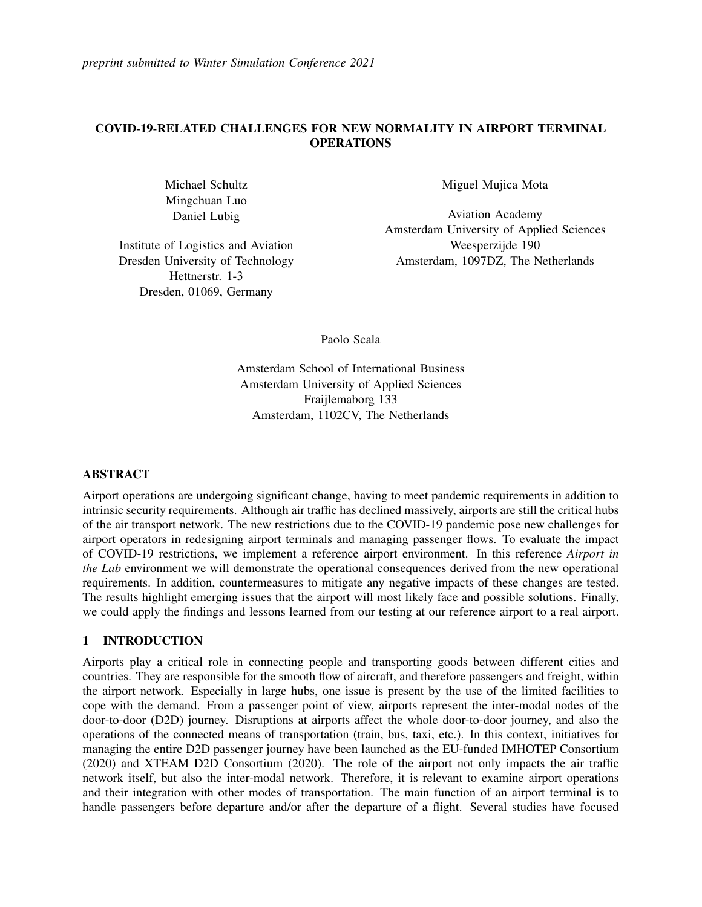*preprint submitted to Winter Simulation Conference 2021*

# COVID-19-RELATED CHALLENGES FOR NEW NORMALITY IN AIRPORT TERMINAL **OPERATIONS**

Michael Schultz Mingchuan Luo Daniel Lubig

Institute of Logistics and Aviation Dresden University of Technology Hettnerstr. 1-3 Dresden, 01069, Germany

Miguel Mujica Mota

Aviation Academy Amsterdam University of Applied Sciences Weesperzijde 190 Amsterdam, 1097DZ, The Netherlands

Paolo Scala

Amsterdam School of International Business Amsterdam University of Applied Sciences Fraijlemaborg 133 Amsterdam, 1102CV, The Netherlands

## ABSTRACT

Airport operations are undergoing significant change, having to meet pandemic requirements in addition to intrinsic security requirements. Although air traffic has declined massively, airports are still the critical hubs of the air transport network. The new restrictions due to the COVID-19 pandemic pose new challenges for airport operators in redesigning airport terminals and managing passenger flows. To evaluate the impact of COVID-19 restrictions, we implement a reference airport environment. In this reference *Airport in the Lab* environment we will demonstrate the operational consequences derived from the new operational requirements. In addition, countermeasures to mitigate any negative impacts of these changes are tested. The results highlight emerging issues that the airport will most likely face and possible solutions. Finally, we could apply the findings and lessons learned from our testing at our reference airport to a real airport.

## 1 INTRODUCTION

Airports play a critical role in connecting people and transporting goods between different cities and countries. They are responsible for the smooth flow of aircraft, and therefore passengers and freight, within the airport network. Especially in large hubs, one issue is present by the use of the limited facilities to cope with the demand. From a passenger point of view, airports represent the inter-modal nodes of the door-to-door (D2D) journey. Disruptions at airports affect the whole door-to-door journey, and also the operations of the connected means of transportation (train, bus, taxi, etc.). In this context, initiatives for managing the entire D2D passenger journey have been launched as the EU-funded [IMHOTEP Consortium](#page-10-0) [\(2020\)](#page-10-0) and [XTEAM D2D Consortium \(2020\).](#page-11-0) The role of the airport not only impacts the air traffic network itself, but also the inter-modal network. Therefore, it is relevant to examine airport operations and their integration with other modes of transportation. The main function of an airport terminal is to handle passengers before departure and/or after the departure of a flight. Several studies have focused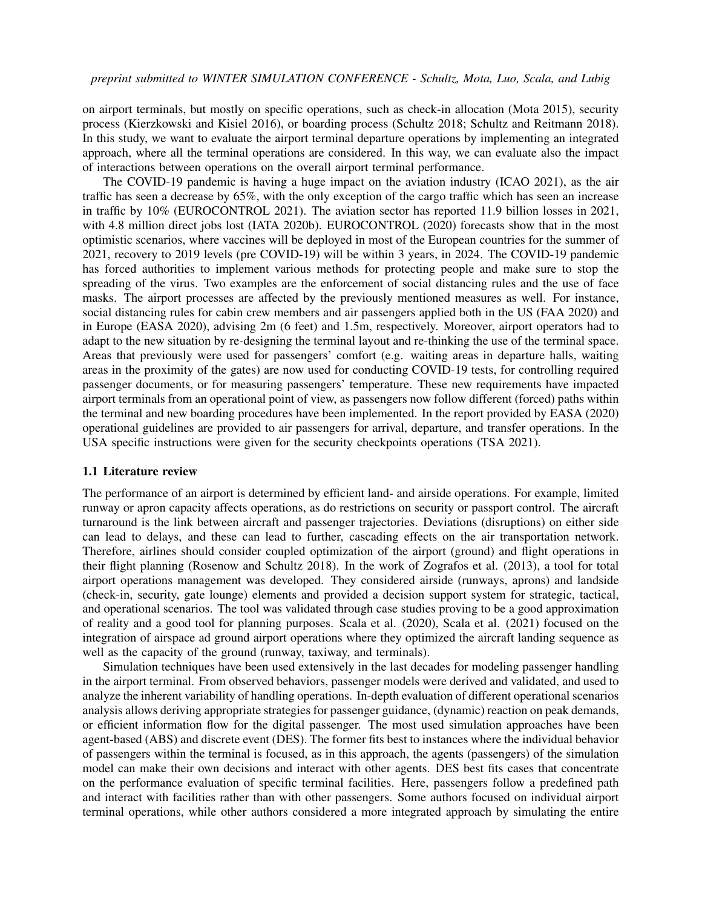on airport terminals, but mostly on specific operations, such as check-in allocation [\(Mota 2015\)](#page-11-1), security process [\(Kierzkowski and Kisiel 2016\)](#page-10-1), or boarding process [\(Schultz 2018;](#page-11-2) [Schultz and Reitmann 2018\)](#page-11-3). In this study, we want to evaluate the airport terminal departure operations by implementing an integrated approach, where all the terminal operations are considered. In this way, we can evaluate also the impact of interactions between operations on the overall airport terminal performance.

The COVID-19 pandemic is having a huge impact on the aviation industry [\(ICAO 2021\)](#page-10-2), as the air traffic has seen a decrease by 65%, with the only exception of the cargo traffic which has seen an increase in traffic by 10% [\(EUROCONTROL 2021\)](#page-10-3). The aviation sector has reported 11.9 billion losses in 2021, with 4.8 million direct jobs lost [\(IATA 2020b\)](#page-10-4). [EUROCONTROL \(2020\)](#page-10-5) forecasts show that in the most optimistic scenarios, where vaccines will be deployed in most of the European countries for the summer of 2021, recovery to 2019 levels (pre COVID-19) will be within 3 years, in 2024. The COVID-19 pandemic has forced authorities to implement various methods for protecting people and make sure to stop the spreading of the virus. Two examples are the enforcement of social distancing rules and the use of face masks. The airport processes are affected by the previously mentioned measures as well. For instance, social distancing rules for cabin crew members and air passengers applied both in the US [\(FAA 2020\)](#page-10-6) and in Europe [\(EASA 2020\)](#page-10-7), advising 2m (6 feet) and 1.5m, respectively. Moreover, airport operators had to adapt to the new situation by re-designing the terminal layout and re-thinking the use of the terminal space. Areas that previously were used for passengers' comfort (e.g. waiting areas in departure halls, waiting areas in the proximity of the gates) are now used for conducting COVID-19 tests, for controlling required passenger documents, or for measuring passengers' temperature. These new requirements have impacted airport terminals from an operational point of view, as passengers now follow different (forced) paths within the terminal and new boarding procedures have been implemented. In the report provided by [EASA \(2020\)](#page-10-7) operational guidelines are provided to air passengers for arrival, departure, and transfer operations. In the USA specific instructions were given for the security checkpoints operations [\(TSA 2021\)](#page-11-4).

## 1.1 Literature review

The performance of an airport is determined by efficient land- and airside operations. For example, limited runway or apron capacity affects operations, as do restrictions on security or passport control. The aircraft turnaround is the link between aircraft and passenger trajectories. Deviations (disruptions) on either side can lead to delays, and these can lead to further, cascading effects on the air transportation network. Therefore, airlines should consider coupled optimization of the airport (ground) and flight operations in their flight planning [\(Rosenow and Schultz 2018\)](#page-11-5). In the work of [Zografos et al. \(2013\),](#page-11-6) a tool for total airport operations management was developed. They considered airside (runways, aprons) and landside (check-in, security, gate lounge) elements and provided a decision support system for strategic, tactical, and operational scenarios. The tool was validated through case studies proving to be a good approximation of reality and a good tool for planning purposes. [Scala et al. \(2020\),](#page-11-7) [Scala et al. \(2021\)](#page-11-8) focused on the integration of airspace ad ground airport operations where they optimized the aircraft landing sequence as well as the capacity of the ground (runway, taxiway, and terminals).

Simulation techniques have been used extensively in the last decades for modeling passenger handling in the airport terminal. From observed behaviors, passenger models were derived and validated, and used to analyze the inherent variability of handling operations. In-depth evaluation of different operational scenarios analysis allows deriving appropriate strategies for passenger guidance, (dynamic) reaction on peak demands, or efficient information flow for the digital passenger. The most used simulation approaches have been agent-based (ABS) and discrete event (DES). The former fits best to instances where the individual behavior of passengers within the terminal is focused, as in this approach, the agents (passengers) of the simulation model can make their own decisions and interact with other agents. DES best fits cases that concentrate on the performance evaluation of specific terminal facilities. Here, passengers follow a predefined path and interact with facilities rather than with other passengers. Some authors focused on individual airport terminal operations, while other authors considered a more integrated approach by simulating the entire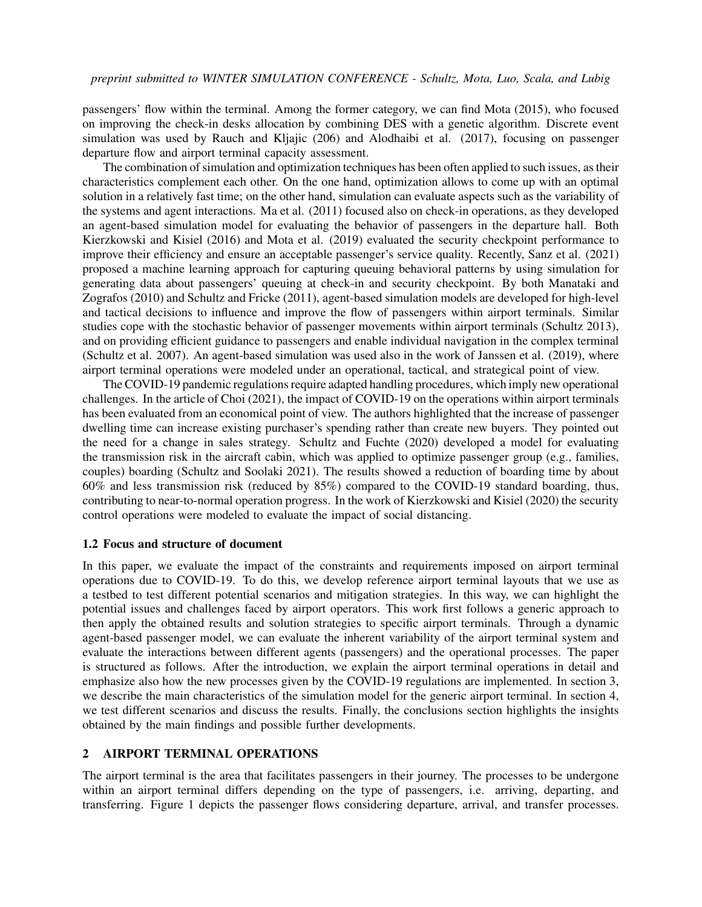passengers' flow within the terminal. Among the former category, we can find [Mota \(2015\),](#page-11-1) who focused on improving the check-in desks allocation by combining DES with a genetic algorithm. Discrete event simulation was used by [Rauch and Kljajic \(206\)](#page-11-9) and [Alodhaibi et al. \(2017\),](#page-10-8) focusing on passenger departure flow and airport terminal capacity assessment.

The combination of simulation and optimization techniques has been often applied to such issues, as their characteristics complement each other. On the one hand, optimization allows to come up with an optimal solution in a relatively fast time; on the other hand, simulation can evaluate aspects such as the variability of the systems and agent interactions. [Ma et al. \(2011\)](#page-10-9) focused also on check-in operations, as they developed an agent-based simulation model for evaluating the behavior of passengers in the departure hall. Both [Kierzkowski and Kisiel \(2016\)](#page-10-1) and [Mota et al. \(2019\)](#page-11-10) evaluated the security checkpoint performance to improve their efficiency and ensure an acceptable passenger's service quality. Recently, [Sanz et al. \(2021\)](#page-11-11) proposed a machine learning approach for capturing queuing behavioral patterns by using simulation for generating data about passengers' queuing at check-in and security checkpoint. By both [Manataki and](#page-10-10) [Zografos \(2010\)](#page-10-10) and [Schultz and Fricke \(2011\),](#page-11-12) agent-based simulation models are developed for high-level and tactical decisions to influence and improve the flow of passengers within airport terminals. Similar studies cope with the stochastic behavior of passenger movements within airport terminals [\(Schultz 2013\)](#page-11-13), and on providing efficient guidance to passengers and enable individual navigation in the complex terminal [\(Schultz et al. 2007\)](#page-11-14). An agent-based simulation was used also in the work of [Janssen et al. \(2019\),](#page-10-11) where airport terminal operations were modeled under an operational, tactical, and strategical point of view.

The COVID-19 pandemic regulations require adapted handling procedures, which imply new operational challenges. In the article of [Choi \(2021\),](#page-10-12) the impact of COVID-19 on the operations within airport terminals has been evaluated from an economical point of view. The authors highlighted that the increase of passenger dwelling time can increase existing purchaser's spending rather than create new buyers. They pointed out the need for a change in sales strategy. [Schultz and Fuchte \(2020\)](#page-11-15) developed a model for evaluating the transmission risk in the aircraft cabin, which was applied to optimize passenger group (e.g., families, couples) boarding [\(Schultz and Soolaki 2021\)](#page-11-16). The results showed a reduction of boarding time by about 60% and less transmission risk (reduced by 85%) compared to the COVID-19 standard boarding, thus, contributing to near-to-normal operation progress. In the work of [Kierzkowski and Kisiel \(2020\)](#page-10-13) the security control operations were modeled to evaluate the impact of social distancing.

#### 1.2 Focus and structure of document

In this paper, we evaluate the impact of the constraints and requirements imposed on airport terminal operations due to COVID-19. To do this, we develop reference airport terminal layouts that we use as a testbed to test different potential scenarios and mitigation strategies. In this way, we can highlight the potential issues and challenges faced by airport operators. This work first follows a generic approach to then apply the obtained results and solution strategies to specific airport terminals. Through a dynamic agent-based passenger model, we can evaluate the inherent variability of the airport terminal system and evaluate the interactions between different agents (passengers) and the operational processes. The paper is structured as follows. After the introduction, we explain the airport terminal operations in detail and emphasize also how the new processes given by the COVID-19 regulations are implemented. In section 3, we describe the main characteristics of the simulation model for the generic airport terminal. In section 4, we test different scenarios and discuss the results. Finally, the conclusions section highlights the insights obtained by the main findings and possible further developments.

## 2 AIRPORT TERMINAL OPERATIONS

The airport terminal is the area that facilitates passengers in their journey. The processes to be undergone within an airport terminal differs depending on the type of passengers, i.e. arriving, departing, and transferring. Figure [1](#page-3-0) depicts the passenger flows considering departure, arrival, and transfer processes.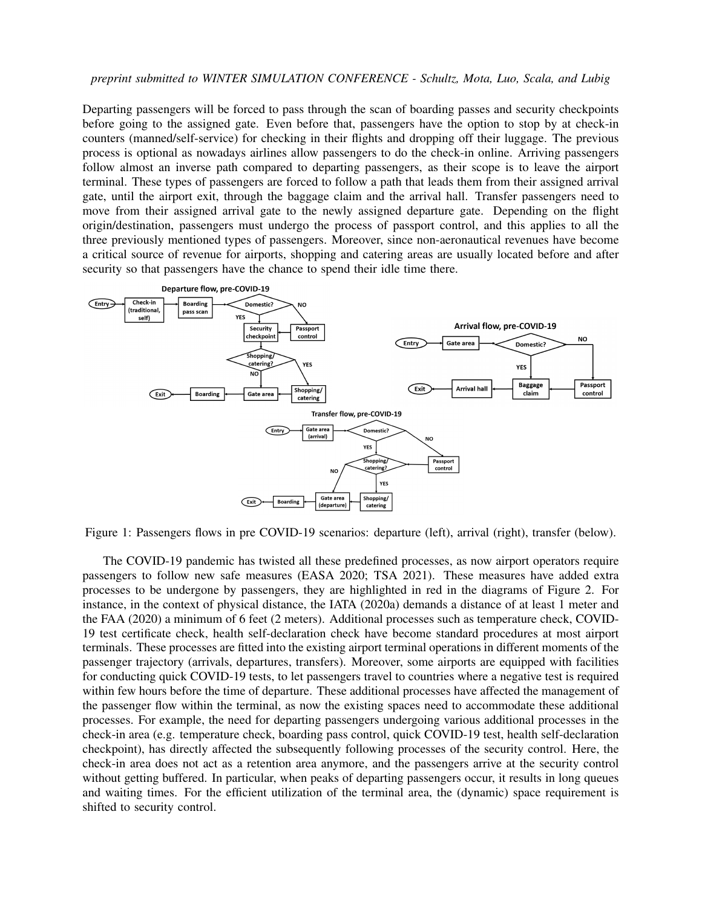Departing passengers will be forced to pass through the scan of boarding passes and security checkpoints before going to the assigned gate. Even before that, passengers have the option to stop by at check-in counters (manned/self-service) for checking in their flights and dropping off their luggage. The previous process is optional as nowadays airlines allow passengers to do the check-in online. Arriving passengers follow almost an inverse path compared to departing passengers, as their scope is to leave the airport terminal. These types of passengers are forced to follow a path that leads them from their assigned arrival gate, until the airport exit, through the baggage claim and the arrival hall. Transfer passengers need to move from their assigned arrival gate to the newly assigned departure gate. Depending on the flight origin/destination, passengers must undergo the process of passport control, and this applies to all the three previously mentioned types of passengers. Moreover, since non-aeronautical revenues have become a critical source of revenue for airports, shopping and catering areas are usually located before and after security so that passengers have the chance to spend their idle time there.



<span id="page-3-0"></span>Figure 1: Passengers flows in pre COVID-19 scenarios: departure (left), arrival (right), transfer (below).

The COVID-19 pandemic has twisted all these predefined processes, as now airport operators require passengers to follow new safe measures [\(EASA 2020;](#page-10-7) [TSA 2021\)](#page-11-4). These measures have added extra processes to be undergone by passengers, they are highlighted in red in the diagrams of Figure [2.](#page-4-0) For instance, in the context of physical distance, the [IATA \(2020a\)](#page-10-14) demands a distance of at least 1 meter and the [FAA \(2020\)](#page-10-6) a minimum of 6 feet (2 meters). Additional processes such as temperature check, COVID-19 test certificate check, health self-declaration check have become standard procedures at most airport terminals. These processes are fitted into the existing airport terminal operations in different moments of the passenger trajectory (arrivals, departures, transfers). Moreover, some airports are equipped with facilities for conducting quick COVID-19 tests, to let passengers travel to countries where a negative test is required within few hours before the time of departure. These additional processes have affected the management of the passenger flow within the terminal, as now the existing spaces need to accommodate these additional processes. For example, the need for departing passengers undergoing various additional processes in the check-in area (e.g. temperature check, boarding pass control, quick COVID-19 test, health self-declaration checkpoint), has directly affected the subsequently following processes of the security control. Here, the check-in area does not act as a retention area anymore, and the passengers arrive at the security control without getting buffered. In particular, when peaks of departing passengers occur, it results in long queues and waiting times. For the efficient utilization of the terminal area, the (dynamic) space requirement is shifted to security control.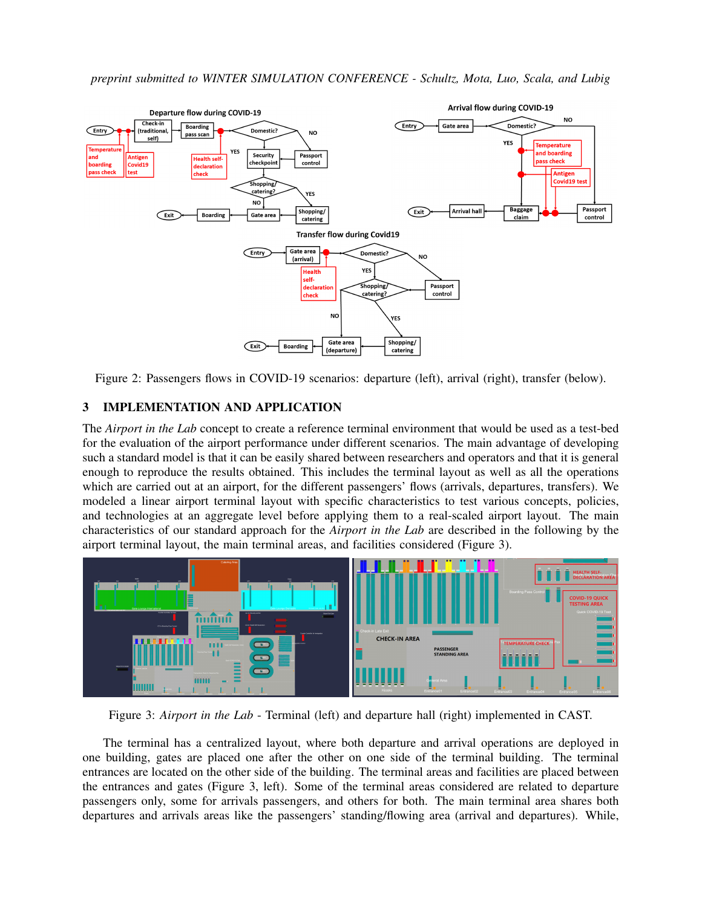

<span id="page-4-0"></span>Figure 2: Passengers flows in COVID-19 scenarios: departure (left), arrival (right), transfer (below).

# 3 IMPLEMENTATION AND APPLICATION

The *Airport in the Lab* concept to create a reference terminal environment that would be used as a test-bed for the evaluation of the airport performance under different scenarios. The main advantage of developing such a standard model is that it can be easily shared between researchers and operators and that it is general enough to reproduce the results obtained. This includes the terminal layout as well as all the operations which are carried out at an airport, for the different passengers' flows (arrivals, departures, transfers). We modeled a linear airport terminal layout with specific characteristics to test various concepts, policies, and technologies at an aggregate level before applying them to a real-scaled airport layout. The main characteristics of our standard approach for the *Airport in the Lab* are described in the following by the airport terminal layout, the main terminal areas, and facilities considered (Figure [3\)](#page-4-1).



<span id="page-4-1"></span>Figure 3: *Airport in the Lab* - Terminal (left) and departure hall (right) implemented in CAST.

The terminal has a centralized layout, where both departure and arrival operations are deployed in one building, gates are placed one after the other on one side of the terminal building. The terminal entrances are located on the other side of the building. The terminal areas and facilities are placed between the entrances and gates (Figure [3,](#page-4-1) left). Some of the terminal areas considered are related to departure passengers only, some for arrivals passengers, and others for both. The main terminal area shares both departures and arrivals areas like the passengers' standing/flowing area (arrival and departures). While,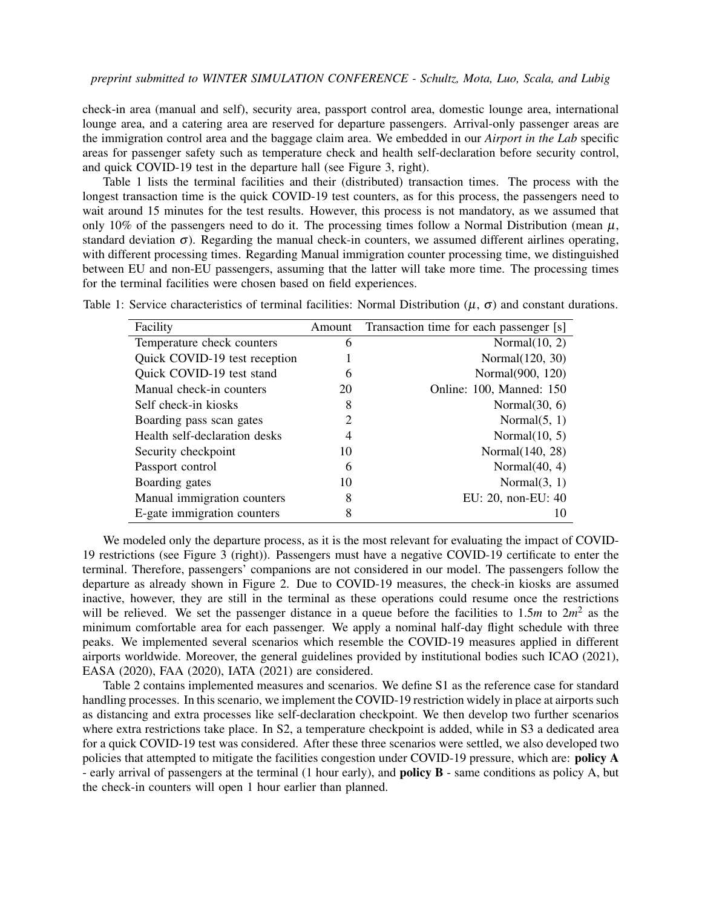check-in area (manual and self), security area, passport control area, domestic lounge area, international lounge area, and a catering area are reserved for departure passengers. Arrival-only passenger areas are the immigration control area and the baggage claim area. We embedded in our *Airport in the Lab* specific areas for passenger safety such as temperature check and health self-declaration before security control, and quick COVID-19 test in the departure hall (see Figure [3,](#page-4-1) right).

Table [1](#page-5-0) lists the terminal facilities and their (distributed) transaction times. The process with the longest transaction time is the quick COVID-19 test counters, as for this process, the passengers need to wait around 15 minutes for the test results. However, this process is not mandatory, as we assumed that only 10% of the passengers need to do it. The processing times follow a Normal Distribution (mean  $\mu$ , standard deviation  $\sigma$ ). Regarding the manual check-in counters, we assumed different airlines operating, with different processing times. Regarding Manual immigration counter processing time, we distinguished between EU and non-EU passengers, assuming that the latter will take more time. The processing times for the terminal facilities were chosen based on field experiences.

<span id="page-5-0"></span>

| Facility                      | Amount | Transaction time for each passenger [s] |
|-------------------------------|--------|-----------------------------------------|
|                               |        |                                         |
| Temperature check counters    | 6      | Normal $(10, 2)$                        |
| Quick COVID-19 test reception |        | Normal(120, 30)                         |
| Quick COVID-19 test stand     | 6      | Normal(900, 120)                        |
| Manual check-in counters      | 20     | Online: 100, Manned: 150                |
| Self check-in kiosks          | 8      | Normal $(30, 6)$                        |
| Boarding pass scan gates      |        | Normal $(5, 1)$                         |
| Health self-declaration desks |        | Normal $(10, 5)$                        |
| Security checkpoint           | 10     | Normal(140, 28)                         |
| Passport control              | 6      | Normal $(40, 4)$                        |
| Boarding gates                | 10     | Normal $(3, 1)$                         |
| Manual immigration counters   | 8      | EU: 20, non-EU: 40                      |
| E-gate immigration counters   | 8      | 10                                      |

Table 1: Service characteristics of terminal facilities: Normal Distribution ( $\mu$ ,  $\sigma$ ) and constant durations.

We modeled only the departure process, as it is the most relevant for evaluating the impact of COVID-19 restrictions (see Figure [3](#page-4-1) (right)). Passengers must have a negative COVID-19 certificate to enter the terminal. Therefore, passengers' companions are not considered in our model. The passengers follow the departure as already shown in Figure [2.](#page-4-0) Due to COVID-19 measures, the check-in kiosks are assumed inactive, however, they are still in the terminal as these operations could resume once the restrictions will be relieved. We set the passenger distance in a queue before the facilities to  $1.5m$  to  $2m^2$  as the minimum comfortable area for each passenger. We apply a nominal half-day flight schedule with three peaks. We implemented several scenarios which resemble the COVID-19 measures applied in different airports worldwide. Moreover, the general guidelines provided by institutional bodies such [ICAO \(2021\),](#page-10-2) [EASA \(2020\),](#page-10-7) [FAA \(2020\),](#page-10-6) [IATA \(2021\)](#page-10-15) are considered.

Table [2](#page-6-0) contains implemented measures and scenarios. We define S1 as the reference case for standard handling processes. In this scenario, we implement the COVID-19 restriction widely in place at airports such as distancing and extra processes like self-declaration checkpoint. We then develop two further scenarios where extra restrictions take place. In S2, a temperature checkpoint is added, while in S3 a dedicated area for a quick COVID-19 test was considered. After these three scenarios were settled, we also developed two policies that attempted to mitigate the facilities congestion under COVID-19 pressure, which are: policy A - early arrival of passengers at the terminal (1 hour early), and policy B - same conditions as policy A, but the check-in counters will open 1 hour earlier than planned.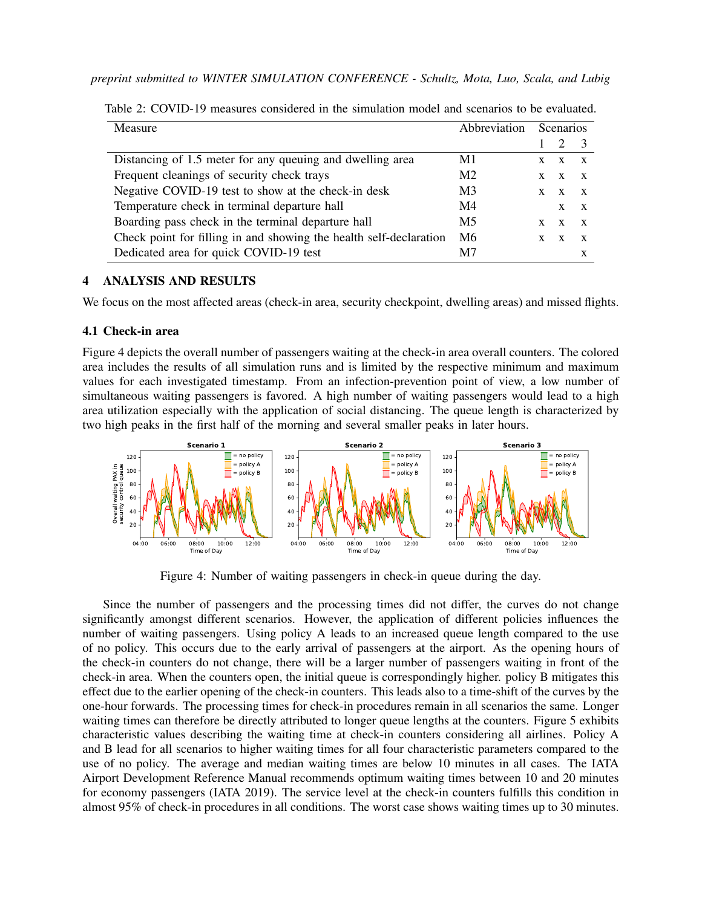| Measure                                                            | Abbreviation Scenarios |   |                       |              |
|--------------------------------------------------------------------|------------------------|---|-----------------------|--------------|
|                                                                    |                        |   | $\mathcal{D}$         |              |
| Distancing of 1.5 meter for any queuing and dwelling area          | M1                     | X | $\mathbf{X}$          |              |
| Frequent cleanings of security check trays                         | M <sub>2</sub>         | X | $\mathbf{x}$          | $\mathbf{x}$ |
| Negative COVID-19 test to show at the check-in desk                | M <sub>3</sub>         |   | $X \times X \times X$ |              |
| Temperature check in terminal departure hall                       | M4                     |   | $X \times X$          |              |
| Boarding pass check in the terminal departure hall                 | M5                     | X | X X                   |              |
| Check point for filling in and showing the health self-declaration | M6                     | X | X                     |              |
| Dedicated area for quick COVID-19 test                             | M7                     |   |                       |              |

<span id="page-6-0"></span>Table 2: COVID-19 measures considered in the simulation model and scenarios to be evaluated.

## 4 ANALYSIS AND RESULTS

We focus on the most affected areas (check-in area, security checkpoint, dwelling areas) and missed flights.

#### 4.1 Check-in area

Figure [4](#page-6-1) depicts the overall number of passengers waiting at the check-in area overall counters. The colored area includes the results of all simulation runs and is limited by the respective minimum and maximum values for each investigated timestamp. From an infection-prevention point of view, a low number of simultaneous waiting passengers is favored. A high number of waiting passengers would lead to a high area utilization especially with the application of social distancing. The queue length is characterized by two high peaks in the first half of the morning and several smaller peaks in later hours.



<span id="page-6-1"></span>Figure 4: Number of waiting passengers in check-in queue during the day.

Since the number of passengers and the processing times did not differ, the curves do not change significantly amongst different scenarios. However, the application of different policies influences the number of waiting passengers. Using policy A leads to an increased queue length compared to the use of no policy. This occurs due to the early arrival of passengers at the airport. As the opening hours of the check-in counters do not change, there will be a larger number of passengers waiting in front of the check-in area. When the counters open, the initial queue is correspondingly higher. policy B mitigates this effect due to the earlier opening of the check-in counters. This leads also to a time-shift of the curves by the one-hour forwards. The processing times for check-in procedures remain in all scenarios the same. Longer waiting times can therefore be directly attributed to longer queue lengths at the counters. Figure [5](#page-7-0) exhibits characteristic values describing the waiting time at check-in counters considering all airlines. Policy A and B lead for all scenarios to higher waiting times for all four characteristic parameters compared to the use of no policy. The average and median waiting times are below 10 minutes in all cases. The IATA Airport Development Reference Manual recommends optimum waiting times between 10 and 20 minutes for economy passengers [\(IATA 2019\)](#page-10-16). The service level at the check-in counters fulfills this condition in almost 95% of check-in procedures in all conditions. The worst case shows waiting times up to 30 minutes.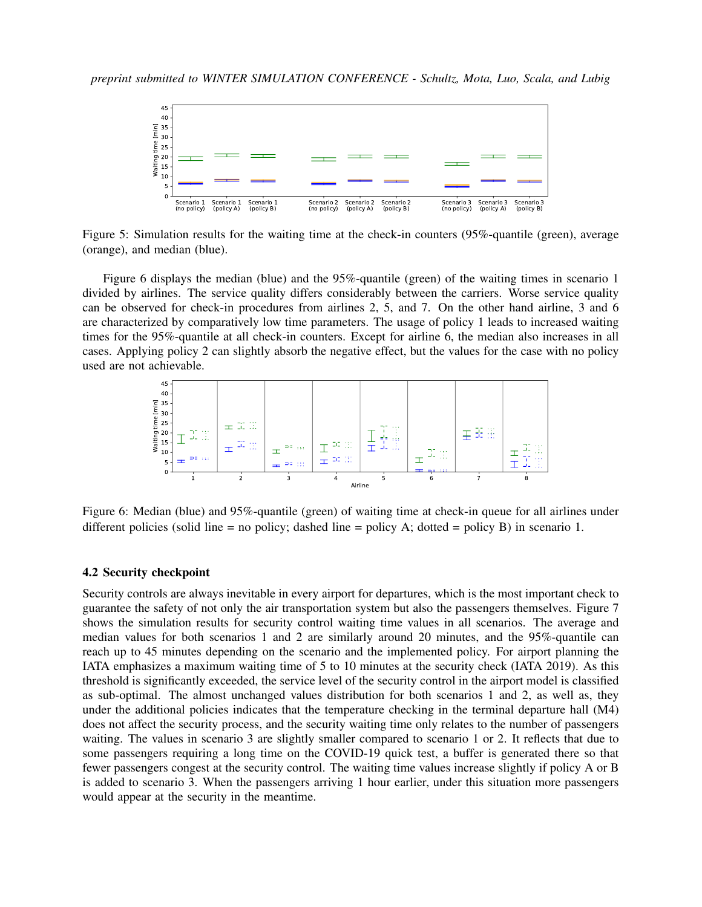

<span id="page-7-0"></span>Figure 5: Simulation results for the waiting time at the check-in counters (95%-quantile (green), average (orange), and median (blue).

Figure [6](#page-7-1) displays the median (blue) and the 95%-quantile (green) of the waiting times in scenario 1 divided by airlines. The service quality differs considerably between the carriers. Worse service quality can be observed for check-in procedures from airlines 2, 5, and 7. On the other hand airline, 3 and 6 are characterized by comparatively low time parameters. The usage of policy 1 leads to increased waiting times for the 95%-quantile at all check-in counters. Except for airline 6, the median also increases in all cases. Applying policy 2 can slightly absorb the negative effect, but the values for the case with no policy used are not achievable.



<span id="page-7-1"></span>Figure 6: Median (blue) and 95%-quantile (green) of waiting time at check-in queue for all airlines under different policies (solid line = no policy; dashed line = policy A; dotted = policy B) in scenario 1.

## 4.2 Security checkpoint

Security controls are always inevitable in every airport for departures, which is the most important check to guarantee the safety of not only the air transportation system but also the passengers themselves. Figure [7](#page-8-0) shows the simulation results for security control waiting time values in all scenarios. The average and median values for both scenarios 1 and 2 are similarly around 20 minutes, and the 95%-quantile can reach up to 45 minutes depending on the scenario and the implemented policy. For airport planning the IATA emphasizes a maximum waiting time of 5 to 10 minutes at the security check [\(IATA 2019\)](#page-10-16). As this threshold is significantly exceeded, the service level of the security control in the airport model is classified as sub-optimal. The almost unchanged values distribution for both scenarios 1 and 2, as well as, they under the additional policies indicates that the temperature checking in the terminal departure hall (M4) does not affect the security process, and the security waiting time only relates to the number of passengers waiting. The values in scenario 3 are slightly smaller compared to scenario 1 or 2. It reflects that due to some passengers requiring a long time on the COVID-19 quick test, a buffer is generated there so that fewer passengers congest at the security control. The waiting time values increase slightly if policy A or B is added to scenario 3. When the passengers arriving 1 hour earlier, under this situation more passengers would appear at the security in the meantime.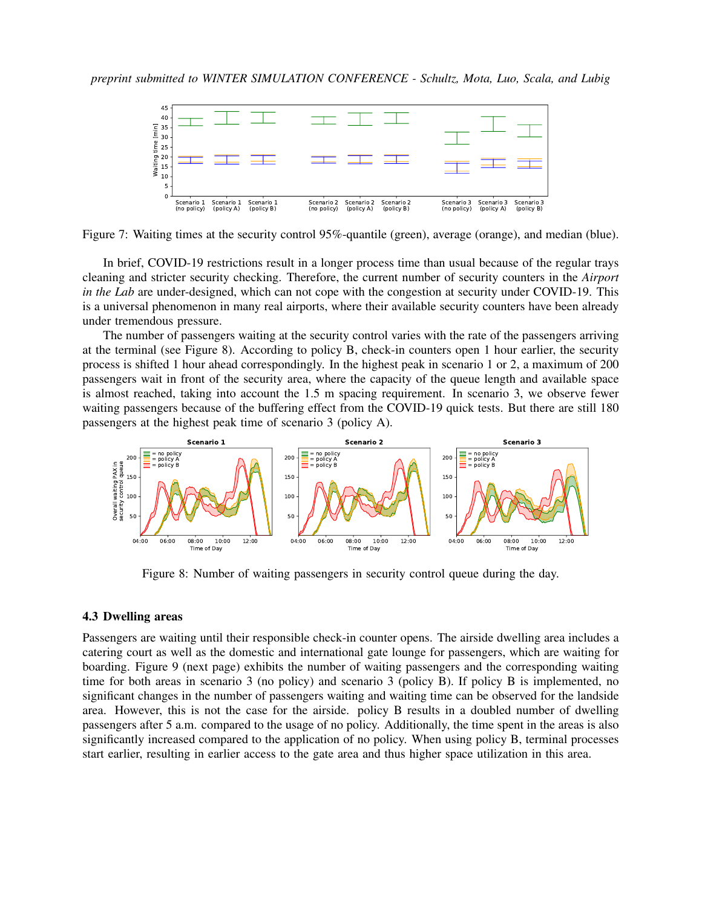

<span id="page-8-0"></span>Figure 7: Waiting times at the security control 95%-quantile (green), average (orange), and median (blue).

In brief, COVID-19 restrictions result in a longer process time than usual because of the regular trays cleaning and stricter security checking. Therefore, the current number of security counters in the *Airport in the Lab* are under-designed, which can not cope with the congestion at security under COVID-19. This is a universal phenomenon in many real airports, where their available security counters have been already under tremendous pressure.

The number of passengers waiting at the security control varies with the rate of the passengers arriving at the terminal (see Figure [8\)](#page-8-1). According to policy B, check-in counters open 1 hour earlier, the security process is shifted 1 hour ahead correspondingly. In the highest peak in scenario 1 or 2, a maximum of 200 passengers wait in front of the security area, where the capacity of the queue length and available space is almost reached, taking into account the 1.5 m spacing requirement. In scenario 3, we observe fewer waiting passengers because of the buffering effect from the COVID-19 quick tests. But there are still 180 passengers at the highest peak time of scenario 3 (policy A).



<span id="page-8-1"></span>Figure 8: Number of waiting passengers in security control queue during the day.

## 4.3 Dwelling areas

Passengers are waiting until their responsible check-in counter opens. The airside dwelling area includes a catering court as well as the domestic and international gate lounge for passengers, which are waiting for boarding. Figure [9](#page-9-0) (next page) exhibits the number of waiting passengers and the corresponding waiting time for both areas in scenario 3 (no policy) and scenario 3 (policy B). If policy B is implemented, no significant changes in the number of passengers waiting and waiting time can be observed for the landside area. However, this is not the case for the airside. policy B results in a doubled number of dwelling passengers after 5 a.m. compared to the usage of no policy. Additionally, the time spent in the areas is also significantly increased compared to the application of no policy. When using policy B, terminal processes start earlier, resulting in earlier access to the gate area and thus higher space utilization in this area.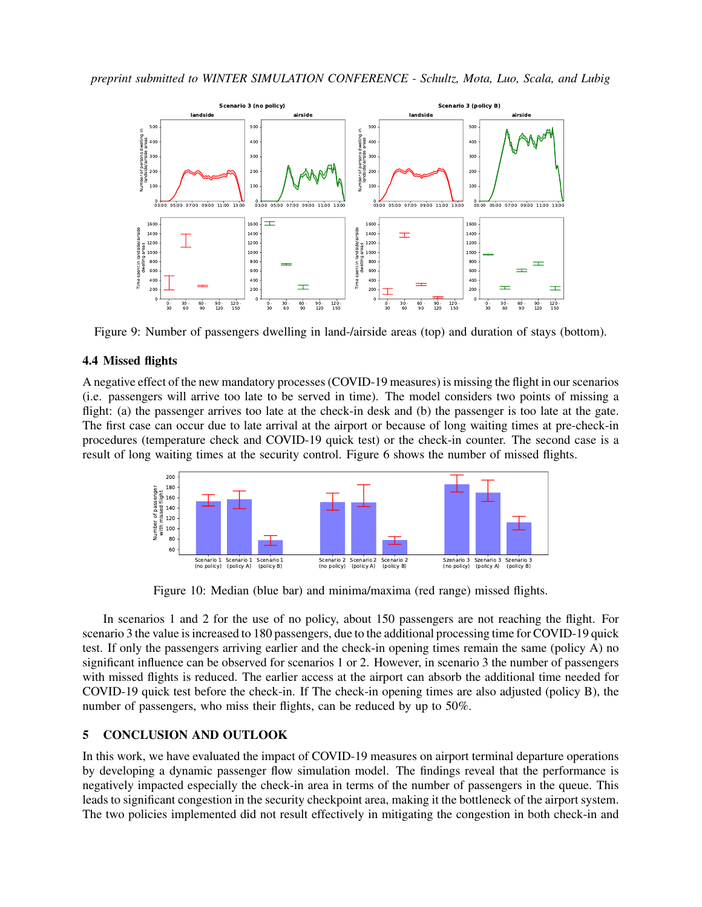

<span id="page-9-0"></span>Figure 9: Number of passengers dwelling in land-/airside areas (top) and duration of stays (bottom).

## 4.4 Missed flights

A negative effect of the new mandatory processes (COVID-19 measures) is missing the flight in our scenarios (i.e. passengers will arrive too late to be served in time). The model considers two points of missing a flight: (a) the passenger arrives too late at the check-in desk and (b) the passenger is too late at the gate. The first case can occur due to late arrival at the airport or because of long waiting times at pre-check-in procedures (temperature check and COVID-19 quick test) or the check-in counter. The second case is a result of long waiting times at the security control. Figure [6](#page-7-1) shows the number of missed flights.



Figure 10: Median (blue bar) and minima/maxima (red range) missed flights.

In scenarios 1 and 2 for the use of no policy, about 150 passengers are not reaching the flight. For scenario 3 the value is increased to 180 passengers, due to the additional processing time for COVID-19 quick test. If only the passengers arriving earlier and the check-in opening times remain the same (policy A) no significant influence can be observed for scenarios 1 or 2. However, in scenario 3 the number of passengers with missed flights is reduced. The earlier access at the airport can absorb the additional time needed for COVID-19 quick test before the check-in. If The check-in opening times are also adjusted (policy B), the number of passengers, who miss their flights, can be reduced by up to 50%.

## 5 CONCLUSION AND OUTLOOK

In this work, we have evaluated the impact of COVID-19 measures on airport terminal departure operations by developing a dynamic passenger flow simulation model. The findings reveal that the performance is negatively impacted especially the check-in area in terms of the number of passengers in the queue. This leads to significant congestion in the security checkpoint area, making it the bottleneck of the airport system. The two policies implemented did not result effectively in mitigating the congestion in both check-in and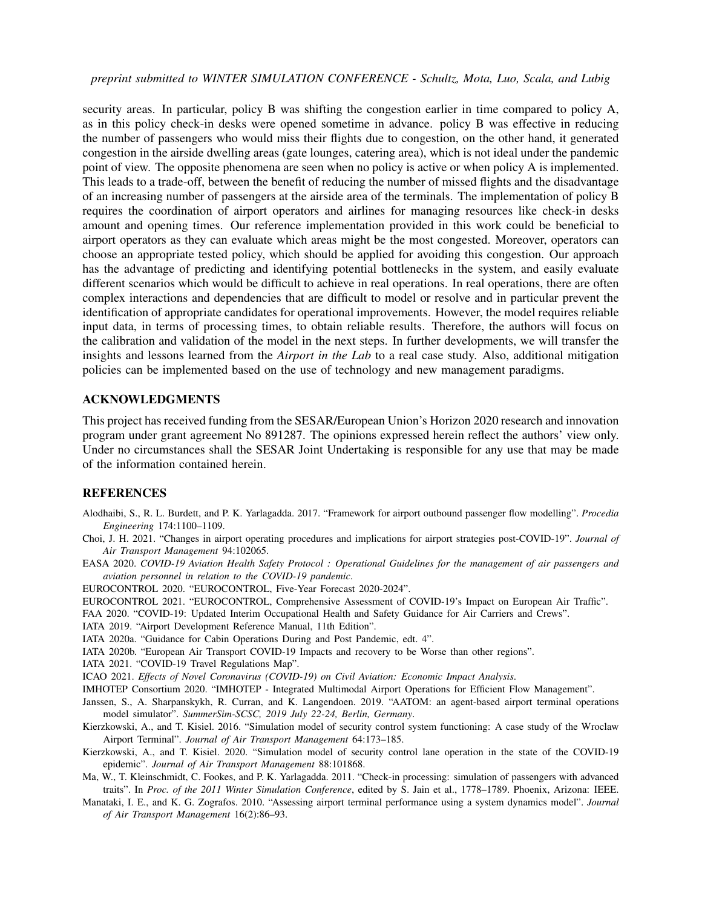security areas. In particular, policy B was shifting the congestion earlier in time compared to policy A, as in this policy check-in desks were opened sometime in advance. policy B was effective in reducing the number of passengers who would miss their flights due to congestion, on the other hand, it generated congestion in the airside dwelling areas (gate lounges, catering area), which is not ideal under the pandemic point of view. The opposite phenomena are seen when no policy is active or when policy A is implemented. This leads to a trade-off, between the benefit of reducing the number of missed flights and the disadvantage of an increasing number of passengers at the airside area of the terminals. The implementation of policy B requires the coordination of airport operators and airlines for managing resources like check-in desks amount and opening times. Our reference implementation provided in this work could be beneficial to airport operators as they can evaluate which areas might be the most congested. Moreover, operators can choose an appropriate tested policy, which should be applied for avoiding this congestion. Our approach has the advantage of predicting and identifying potential bottlenecks in the system, and easily evaluate different scenarios which would be difficult to achieve in real operations. In real operations, there are often complex interactions and dependencies that are difficult to model or resolve and in particular prevent the identification of appropriate candidates for operational improvements. However, the model requires reliable input data, in terms of processing times, to obtain reliable results. Therefore, the authors will focus on the calibration and validation of the model in the next steps. In further developments, we will transfer the insights and lessons learned from the *Airport in the Lab* to a real case study. Also, additional mitigation policies can be implemented based on the use of technology and new management paradigms.

## ACKNOWLEDGMENTS

This project has received funding from the SESAR/European Union's Horizon 2020 research and innovation program under grant agreement No 891287. The opinions expressed herein reflect the authors' view only. Under no circumstances shall the SESAR Joint Undertaking is responsible for any use that may be made of the information contained herein.

## **REFERENCES**

- <span id="page-10-8"></span>Alodhaibi, S., R. L. Burdett, and P. K. Yarlagadda. 2017. "Framework for airport outbound passenger flow modelling". *Procedia Engineering* 174:1100–1109.
- <span id="page-10-12"></span>Choi, J. H. 2021. "Changes in airport operating procedures and implications for airport strategies post-COVID-19". *Journal of Air Transport Management* 94:102065.
- <span id="page-10-7"></span>EASA 2020. *COVID-19 Aviation Health Safety Protocol : Operational Guidelines for the management of air passengers and aviation personnel in relation to the COVID-19 pandemic*.

<span id="page-10-5"></span>EUROCONTROL 2020. "EUROCONTROL, Five-Year Forecast 2020-2024".

- <span id="page-10-3"></span>EUROCONTROL 2021. "EUROCONTROL, Comprehensive Assessment of COVID-19's Impact on European Air Traffic".
- <span id="page-10-6"></span>FAA 2020. "COVID-19: Updated Interim Occupational Health and Safety Guidance for Air Carriers and Crews".

<span id="page-10-16"></span>IATA 2019. "Airport Development Reference Manual, 11th Edition".

<span id="page-10-14"></span>IATA 2020a. "Guidance for Cabin Operations During and Post Pandemic, edt. 4".

<span id="page-10-4"></span>IATA 2020b. "European Air Transport COVID-19 Impacts and recovery to be Worse than other regions".

<span id="page-10-15"></span>IATA 2021. "COVID-19 Travel Regulations Map".

<span id="page-10-2"></span>ICAO 2021. *Effects of Novel Coronavirus (COVID-19) on Civil Aviation: Economic Impact Analysis*.

<span id="page-10-0"></span>IMHOTEP Consortium 2020. "IMHOTEP - Integrated Multimodal Airport Operations for Efficient Flow Management".

- <span id="page-10-11"></span>Janssen, S., A. Sharpanskykh, R. Curran, and K. Langendoen. 2019. "AATOM: an agent-based airport terminal operations model simulator". *SummerSim-SCSC, 2019 July 22-24, Berlin, Germany*.
- <span id="page-10-1"></span>Kierzkowski, A., and T. Kisiel. 2016. "Simulation model of security control system functioning: A case study of the Wroclaw Airport Terminal". *Journal of Air Transport Management* 64:173–185.
- <span id="page-10-13"></span>Kierzkowski, A., and T. Kisiel. 2020. "Simulation model of security control lane operation in the state of the COVID-19 epidemic". *Journal of Air Transport Management* 88:101868.
- <span id="page-10-9"></span>Ma, W., T. Kleinschmidt, C. Fookes, and P. K. Yarlagadda. 2011. "Check-in processing: simulation of passengers with advanced traits". In *Proc. of the 2011 Winter Simulation Conference*, edited by S. Jain et al., 1778–1789. Phoenix, Arizona: IEEE.
- <span id="page-10-10"></span>Manataki, I. E., and K. G. Zografos. 2010. "Assessing airport terminal performance using a system dynamics model". *Journal of Air Transport Management* 16(2):86–93.